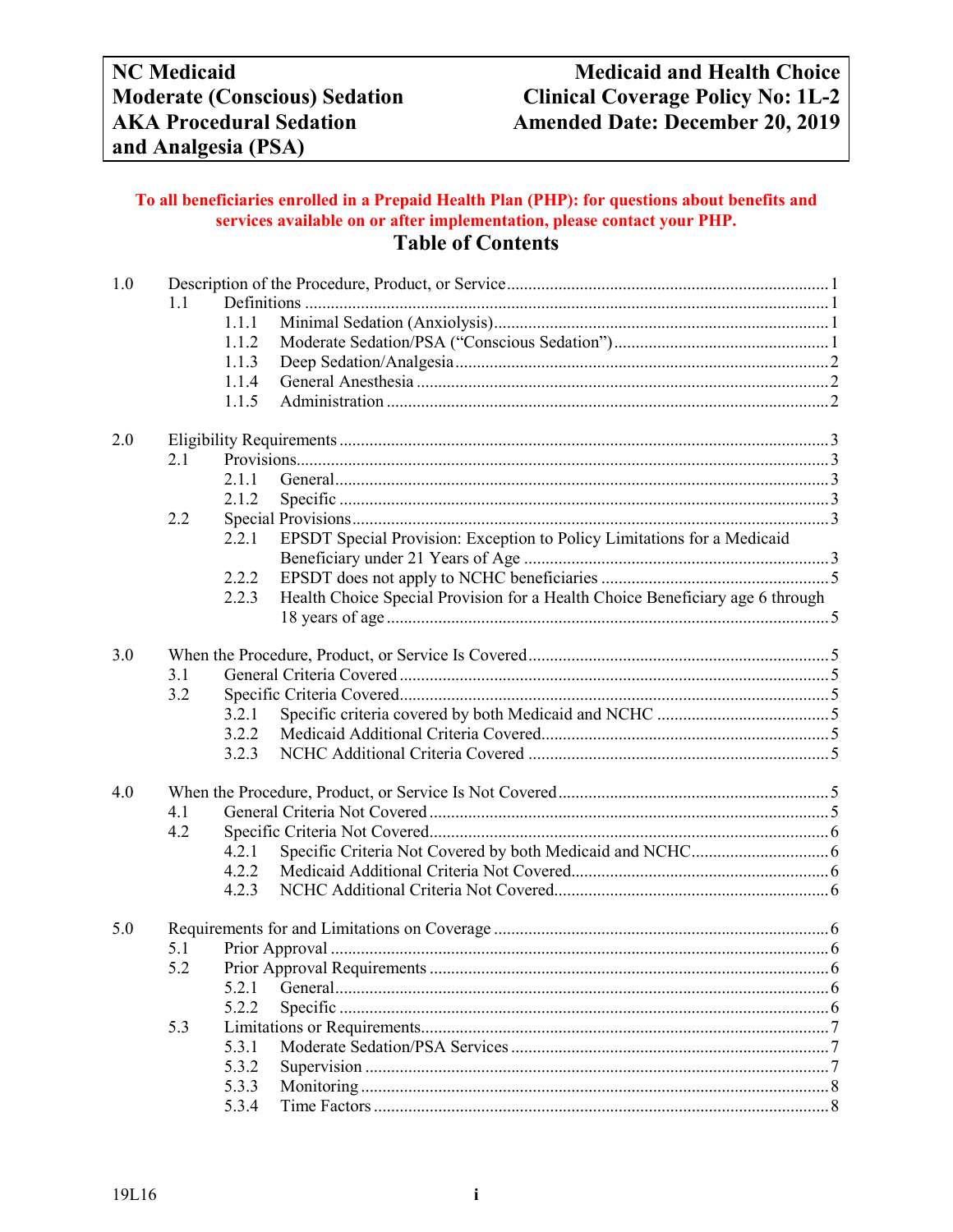## **To all beneficiaries enrolled in a Prepaid Health Plan (PHP): for questions about benefits and services available on or after implementation, please contact your PHP. Table of Contents**

| 1.0 |     |       |                                                                               |  |  |
|-----|-----|-------|-------------------------------------------------------------------------------|--|--|
|     | 1.1 |       |                                                                               |  |  |
|     |     | 1.1.1 |                                                                               |  |  |
|     |     | 1.1.2 |                                                                               |  |  |
|     |     | 1.1.3 |                                                                               |  |  |
|     |     | 1.1.4 |                                                                               |  |  |
|     |     | 1.1.5 |                                                                               |  |  |
| 2.0 |     |       |                                                                               |  |  |
|     | 2.1 |       |                                                                               |  |  |
|     |     | 2.1.1 |                                                                               |  |  |
|     |     | 2.1.2 |                                                                               |  |  |
|     | 2.2 |       |                                                                               |  |  |
|     |     | 2.2.1 | EPSDT Special Provision: Exception to Policy Limitations for a Medicaid       |  |  |
|     |     | 2.2.2 |                                                                               |  |  |
|     |     | 2.2.3 | Health Choice Special Provision for a Health Choice Beneficiary age 6 through |  |  |
|     |     |       |                                                                               |  |  |
|     |     |       |                                                                               |  |  |
| 3.0 |     |       |                                                                               |  |  |
|     | 3.1 |       |                                                                               |  |  |
|     | 3.2 |       |                                                                               |  |  |
|     |     | 3.2.1 |                                                                               |  |  |
|     |     | 3.2.2 |                                                                               |  |  |
|     |     | 3.2.3 |                                                                               |  |  |
| 4.0 |     |       |                                                                               |  |  |
|     | 4.1 |       |                                                                               |  |  |
|     | 4.2 |       |                                                                               |  |  |
|     |     | 4.2.1 |                                                                               |  |  |
|     |     | 4.2.2 |                                                                               |  |  |
|     |     | 4.2.3 |                                                                               |  |  |
| 5.0 |     |       |                                                                               |  |  |
|     | 5.1 |       |                                                                               |  |  |
|     | 5.2 |       |                                                                               |  |  |
|     |     | 5.2.1 |                                                                               |  |  |
|     |     | 5.2.2 |                                                                               |  |  |
|     | 5.3 |       |                                                                               |  |  |
|     |     | 5.3.1 |                                                                               |  |  |
|     |     | 5.3.2 |                                                                               |  |  |
|     |     | 5.3.3 |                                                                               |  |  |
|     |     | 5.3.4 |                                                                               |  |  |
|     |     |       |                                                                               |  |  |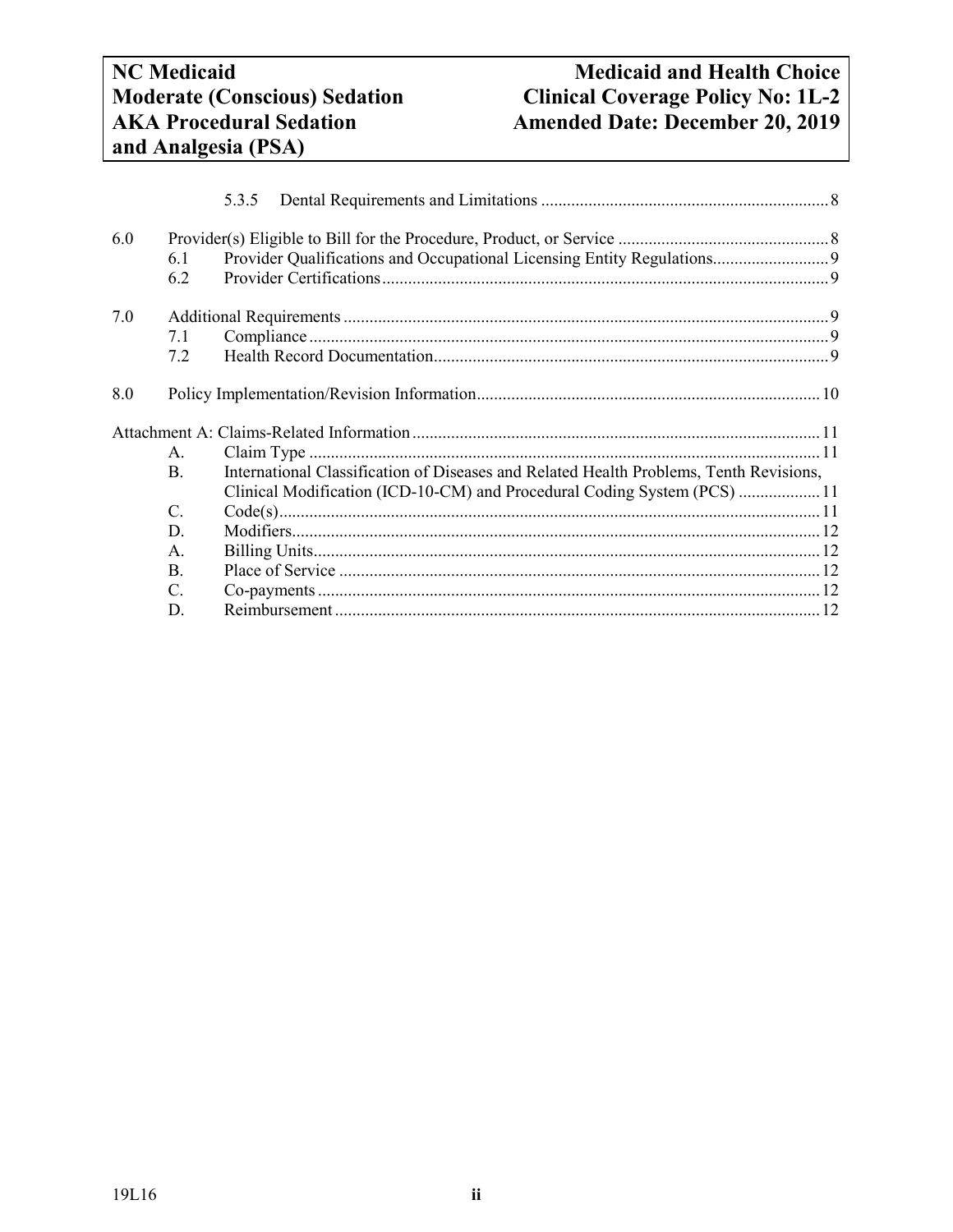# **NC** Medicaid<br> **Nedicaid and Health Choice**<br> **Medicaid and Health Choice**<br> **Clinical Coverage Policy No: 1L-2 Moderate (Conscious) Sedation**<br> **Clinical Coverage Policy No: 1L-2**<br> **AKA Procedural Sedation**<br> **Clinical Coverage Policy No: 1L-2** Amended Date: December 20, 2019

|     |                 | 5.3.5                                                                                  |  |
|-----|-----------------|----------------------------------------------------------------------------------------|--|
| 6.0 |                 |                                                                                        |  |
|     | 6.1             | Provider Qualifications and Occupational Licensing Entity Regulations 9                |  |
|     | 6.2             |                                                                                        |  |
| 7.0 |                 |                                                                                        |  |
|     | 7.1             |                                                                                        |  |
|     | 7.2             |                                                                                        |  |
| 8.0 |                 |                                                                                        |  |
|     | A.              |                                                                                        |  |
|     | <b>B.</b>       | International Classification of Diseases and Related Health Problems, Tenth Revisions, |  |
|     |                 | Clinical Modification (ICD-10-CM) and Procedural Coding System (PCS)  11               |  |
|     | $\mathcal{C}$ . |                                                                                        |  |
|     | D.              |                                                                                        |  |
|     | Α.              |                                                                                        |  |
|     | <b>B.</b>       |                                                                                        |  |
|     | $\mathcal{C}$   |                                                                                        |  |
|     | D.              |                                                                                        |  |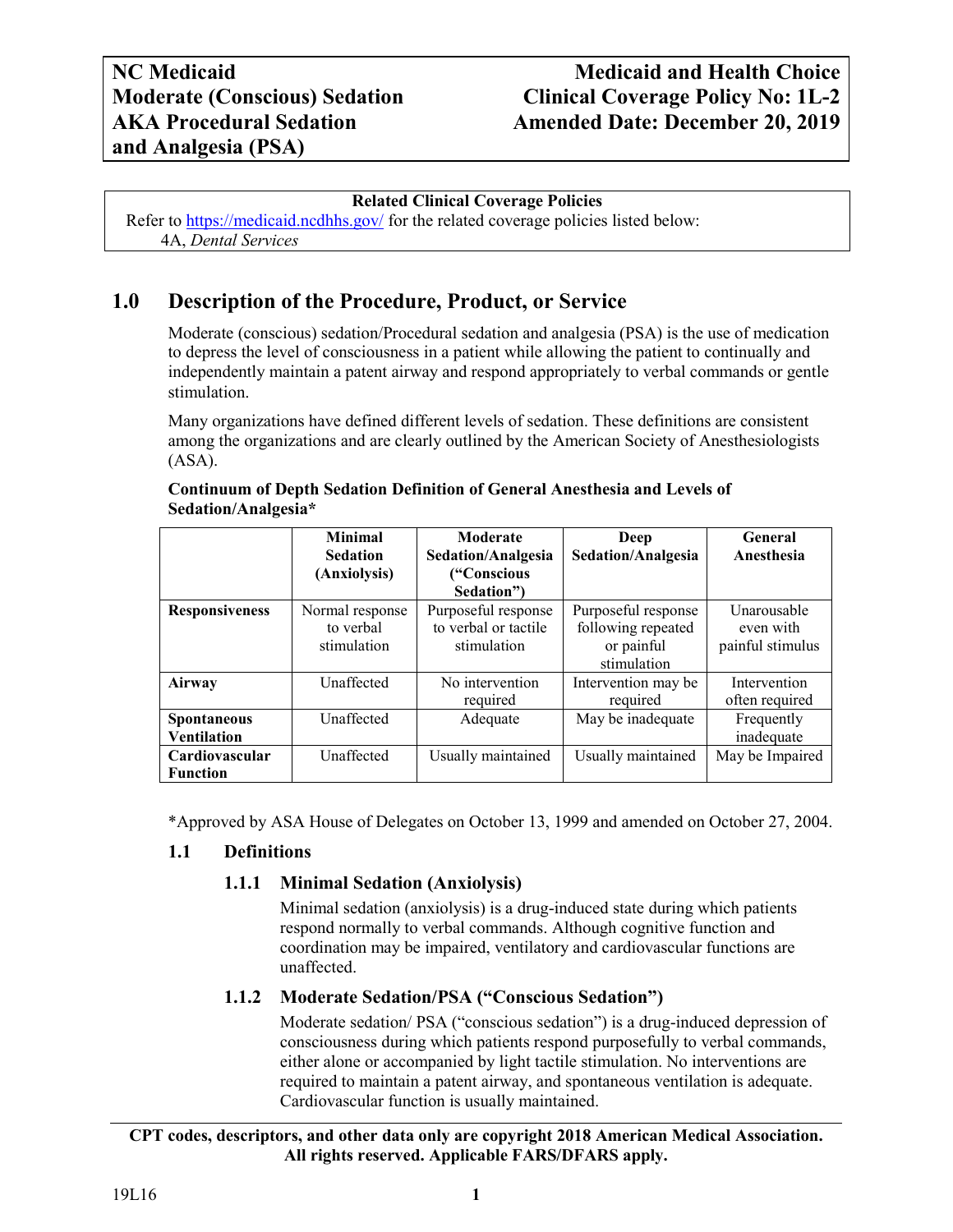# **NC Medicaid Medicaid and Health Choice Clinical Coverage Policy No: 1L-2 AKA Procedural Sedation Amended Date: December 20, 2019**

#### **Related Clinical Coverage Policies**

<span id="page-2-0"></span>Refer to<https://medicaid.ncdhhs.gov/> for the related coverage policies listed below: 4A, *Dental Services*

## **1.0 Description of the Procedure, Product, or Service**

Moderate (conscious) sedation/Procedural sedation and analgesia (PSA) is the use of medication to depress the level of consciousness in a patient while allowing the patient to continually and independently maintain a patent airway and respond appropriately to verbal commands or gentle stimulation.

Many organizations have defined different levels of sedation. These definitions are consistent among the organizations and are clearly outlined by the American Society of Anesthesiologists (ASA).

|                                          | <b>Minimal</b><br><b>Sedation</b><br>(Anxiolysis) | Moderate<br>Sedation/Analgesia<br>("Conscious                           | Deep<br>Sedation/Analgesia                                             | General<br>Anesthesia                        |
|------------------------------------------|---------------------------------------------------|-------------------------------------------------------------------------|------------------------------------------------------------------------|----------------------------------------------|
| <b>Responsiveness</b>                    | Normal response<br>to verbal<br>stimulation       | Sedation"<br>Purposeful response<br>to verbal or tactile<br>stimulation | Purposeful response<br>following repeated<br>or painful<br>stimulation | Unarousable<br>even with<br>painful stimulus |
| Airway                                   | Unaffected                                        | No intervention<br>required                                             | Intervention may be<br>required                                        | Intervention<br>often required               |
| <b>Spontaneous</b><br><b>Ventilation</b> | Unaffected                                        | Adequate                                                                | May be inadequate                                                      | Frequently<br>inadequate                     |
| Cardiovascular<br><b>Function</b>        | Unaffected                                        | Usually maintained                                                      | Usually maintained                                                     | May be Impaired                              |

#### **Continuum of Depth Sedation Definition of General Anesthesia and Levels of Sedation/Analgesia\***

\*Approved by ASA House of Delegates on October 13, 1999 and amended on October 27, 2004.

## <span id="page-2-2"></span><span id="page-2-1"></span>**1.1 Definitions**

## **1.1.1 Minimal Sedation (Anxiolysis)**

Minimal sedation (anxiolysis) is a drug-induced state during which patients respond normally to verbal commands. Although cognitive function and coordination may be impaired, ventilatory and cardiovascular functions are unaffected.

## <span id="page-2-3"></span>**1.1.2 Moderate Sedation/PSA ("Conscious Sedation")**

Moderate sedation/ PSA ("conscious sedation") is a drug-induced depression of consciousness during which patients respond purposefully to verbal commands, either alone or accompanied by light tactile stimulation. No interventions are required to maintain a patent airway, and spontaneous ventilation is adequate. Cardiovascular function is usually maintained.

#### **CPT codes, descriptors, and other data only are copyright 2018 American Medical Association. All rights reserved. Applicable FARS/DFARS apply.**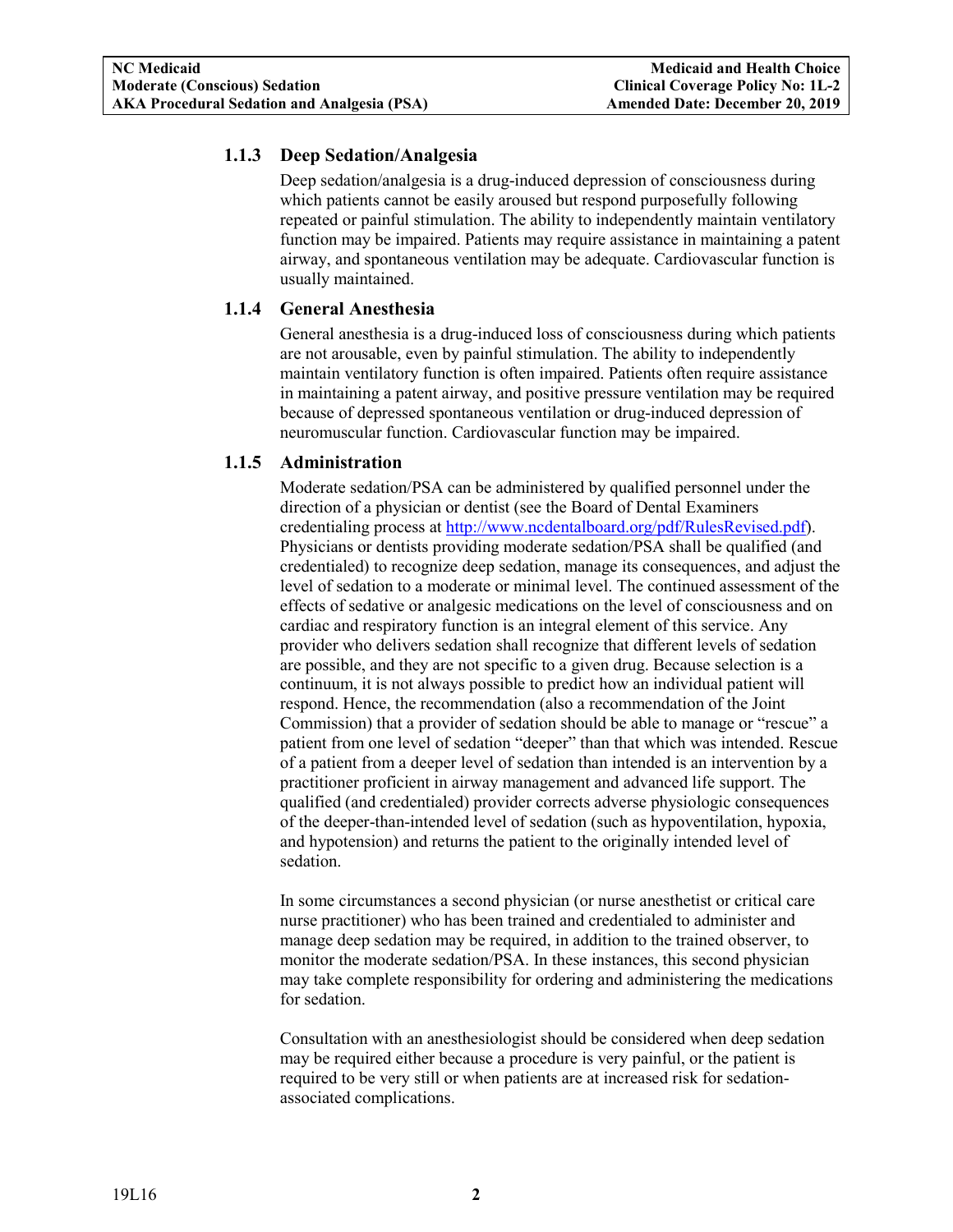## <span id="page-3-0"></span>**1.1.3 Deep Sedation/Analgesia**

Deep sedation/analgesia is a drug-induced depression of consciousness during which patients cannot be easily aroused but respond purposefully following repeated or painful stimulation. The ability to independently maintain ventilatory function may be impaired. Patients may require assistance in maintaining a patent airway, and spontaneous ventilation may be adequate. Cardiovascular function is usually maintained.

## <span id="page-3-1"></span>**1.1.4 General Anesthesia**

General anesthesia is a drug-induced loss of consciousness during which patients are not arousable, even by painful stimulation. The ability to independently maintain ventilatory function is often impaired. Patients often require assistance in maintaining a patent airway, and positive pressure ventilation may be required because of depressed spontaneous ventilation or drug-induced depression of neuromuscular function. Cardiovascular function may be impaired.

## <span id="page-3-2"></span>**1.1.5 Administration**

Moderate sedation/PSA can be administered by qualified personnel under the direction of a physician or dentist (see the Board of Dental Examiners credentialing process at [http://www.ncdentalboard.org/pdf/RulesRevised.pdf\)](http://www.ncdentalboard.org/pdf/RulesRevised.pdf). Physicians or dentists providing moderate sedation/PSA shall be qualified (and credentialed) to recognize deep sedation, manage its consequences, and adjust the level of sedation to a moderate or minimal level. The continued assessment of the effects of sedative or analgesic medications on the level of consciousness and on cardiac and respiratory function is an integral element of this service. Any provider who delivers sedation shall recognize that different levels of sedation are possible, and they are not specific to a given drug. Because selection is a continuum, it is not always possible to predict how an individual patient will respond. Hence, the recommendation (also a recommendation of the Joint Commission) that a provider of sedation should be able to manage or "rescue" a patient from one level of sedation "deeper" than that which was intended. Rescue of a patient from a deeper level of sedation than intended is an intervention by a practitioner proficient in airway management and advanced life support. The qualified (and credentialed) provider corrects adverse physiologic consequences of the deeper-than-intended level of sedation (such as hypoventilation, hypoxia, and hypotension) and returns the patient to the originally intended level of sedation.

In some circumstances a second physician (or nurse anesthetist or critical care nurse practitioner) who has been trained and credentialed to administer and manage deep sedation may be required, in addition to the trained observer, to monitor the moderate sedation/PSA. In these instances, this second physician may take complete responsibility for ordering and administering the medications for sedation.

Consultation with an anesthesiologist should be considered when deep sedation may be required either because a procedure is very painful, or the patient is required to be very still or when patients are at increased risk for sedationassociated complications.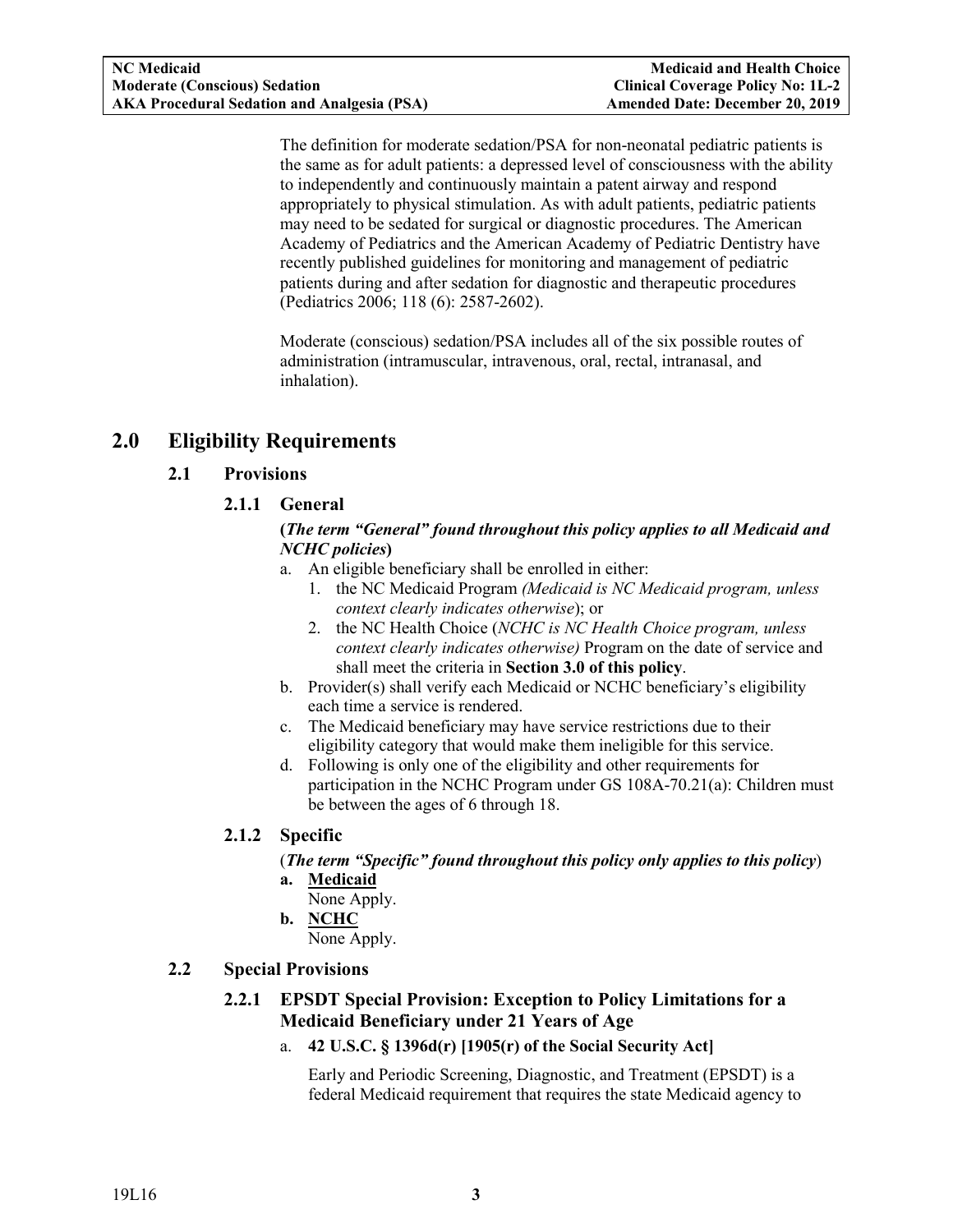The definition for moderate sedation/PSA for non-neonatal pediatric patients is the same as for adult patients: a depressed level of consciousness with the ability to independently and continuously maintain a patent airway and respond appropriately to physical stimulation. As with adult patients, pediatric patients may need to be sedated for surgical or diagnostic procedures. The American Academy of Pediatrics and the American Academy of Pediatric Dentistry have recently published guidelines for monitoring and management of pediatric patients during and after sedation for diagnostic and therapeutic procedures (Pediatrics 2006; 118 (6): 2587-2602).

Moderate (conscious) sedation/PSA includes all of the six possible routes of administration (intramuscular, intravenous, oral, rectal, intranasal, and inhalation).

## <span id="page-4-2"></span><span id="page-4-1"></span><span id="page-4-0"></span>**2.0 Eligibility Requirements**

## **2.1 Provisions**

## **2.1.1 General**

#### **(***The term "General" found throughout this policy applies to all Medicaid and NCHC policies***)**

- a. An eligible beneficiary shall be enrolled in either:
	- 1. the NC Medicaid Program *(Medicaid is NC Medicaid program, unless context clearly indicates otherwise*); or
	- 2. the NC Health Choice (*NCHC is NC Health Choice program, unless context clearly indicates otherwise)* Program on the date of service and shall meet the criteria in **Section 3.0 of this policy**.
- b. Provider(s) shall verify each Medicaid or NCHC beneficiary's eligibility each time a service is rendered.
- c. The Medicaid beneficiary may have service restrictions due to their eligibility category that would make them ineligible for this service.
- d. Following is only one of the eligibility and other requirements for participation in the NCHC Program under GS 108A-70.21(a): Children must be between the ages of 6 through 18.

## <span id="page-4-3"></span>**2.1.2 Specific**

(*The term "Specific" found throughout this policy only applies to this policy*)

- **a. Medicaid**
	- None Apply.
- **b. NCHC**

None Apply.

## <span id="page-4-5"></span><span id="page-4-4"></span>**2.2 Special Provisions**

## **2.2.1 EPSDT Special Provision: Exception to Policy Limitations for a Medicaid Beneficiary under 21 Years of Age**

a. **42 U.S.C. § 1396d(r) [1905(r) of the Social Security Act]**

Early and Periodic Screening, Diagnostic, and Treatment (EPSDT) is a federal Medicaid requirement that requires the state Medicaid agency to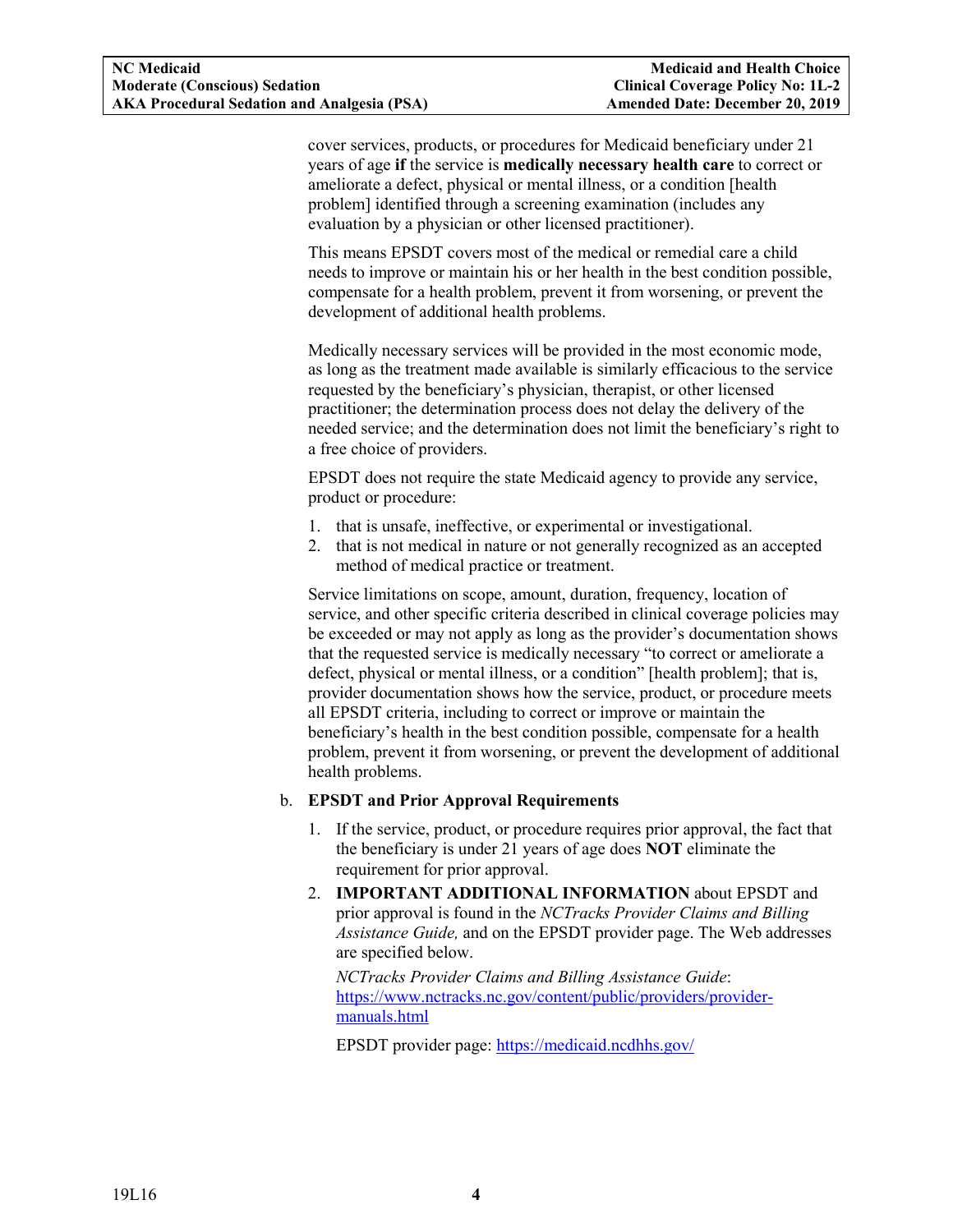<span id="page-5-0"></span>cover services, products, or procedures for Medicaid beneficiary under 21 years of age **if** the service is **medically necessary health care** to correct or ameliorate a defect, physical or mental illness, or a condition [health problem] identified through a screening examination (includes any evaluation by a physician or other licensed practitioner).

This means EPSDT covers most of the medical or remedial care a child needs to improve or maintain his or her health in the best condition possible, compensate for a health problem, prevent it from worsening, or prevent the development of additional health problems.

Medically necessary services will be provided in the most economic mode, as long as the treatment made available is similarly efficacious to the service requested by the beneficiary's physician, therapist, or other licensed practitioner; the determination process does not delay the delivery of the needed service; and the determination does not limit the beneficiary's right to a free choice of providers.

EPSDT does not require the state Medicaid agency to provide any service, product or procedure:

- 1. that is unsafe, ineffective, or experimental or investigational.
- 2. that is not medical in nature or not generally recognized as an accepted method of medical practice or treatment.

Service limitations on scope, amount, duration, frequency, location of service, and other specific criteria described in clinical coverage policies may be exceeded or may not apply as long as the provider's documentation shows that the requested service is medically necessary "to correct or ameliorate a defect, physical or mental illness, or a condition" [health problem]; that is, provider documentation shows how the service, product, or procedure meets all EPSDT criteria, including to correct or improve or maintain the beneficiary's health in the best condition possible, compensate for a health problem, prevent it from worsening, or prevent the development of additional health problems.

#### b. **EPSDT and Prior Approval Requirements**

- 1. If the service, product, or procedure requires prior approval, the fact that the beneficiary is under 21 years of age does **NOT** eliminate the requirement for prior approval.
- 2. **IMPORTANT ADDITIONAL INFORMATION** about EPSDT and prior approval is found in the *NCTracks Provider Claims and Billing Assistance Guide,* and on the EPSDT provider page. The Web addresses are specified below.

*NCTracks Provider Claims and Billing Assistance Guide*: [https://www.nctracks.nc.gov/content/public/providers/provider](https://www.nctracks.nc.gov/content/public/providers/provider-manuals.html)[manuals.html](https://www.nctracks.nc.gov/content/public/providers/provider-manuals.html)

EPSDT provider page: <https://medicaid.ncdhhs.gov/>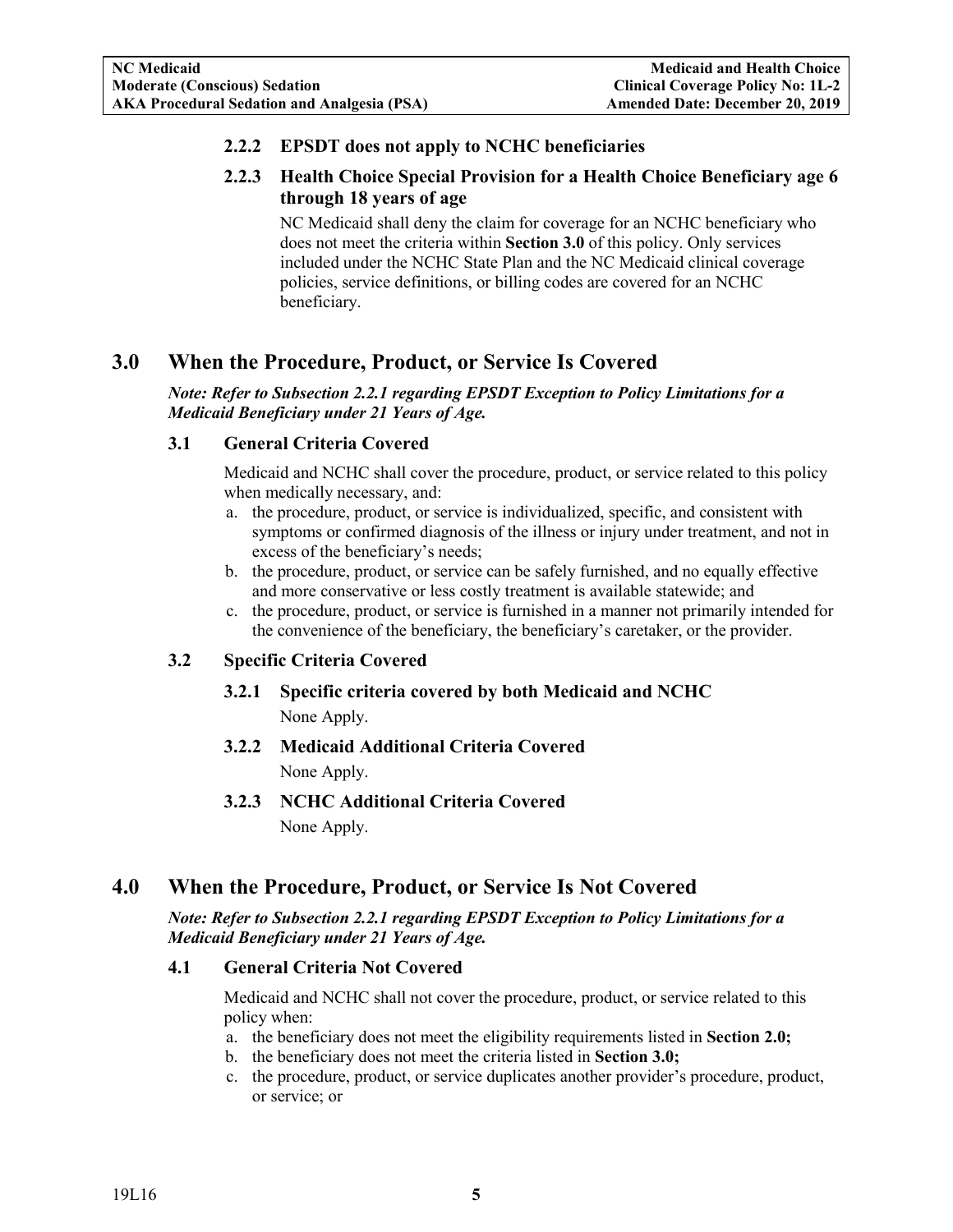## **2.2.2 EPSDT does not apply to NCHC beneficiaries**

## <span id="page-6-0"></span>**2.2.3 Health Choice Special Provision for a Health Choice Beneficiary age 6 through 18 years of age**

NC Medicaid shall deny the claim for coverage for an NCHC beneficiary who does not meet the criteria within **Section 3.0** of this policy. Only services included under the NCHC State Plan and the NC Medicaid clinical coverage policies, service definitions, or billing codes are covered for an NCHC beneficiary.

## <span id="page-6-1"></span>**3.0 When the Procedure, Product, or Service Is Covered**

*Note: Refer to Subsection 2.2.1 regarding EPSDT Exception to Policy Limitations for a Medicaid Beneficiary under 21 Years of Age.*

## <span id="page-6-2"></span>**3.1 General Criteria Covered**

Medicaid and NCHC shall cover the procedure, product, or service related to this policy when medically necessary, and:

- a. the procedure, product, or service is individualized, specific, and consistent with symptoms or confirmed diagnosis of the illness or injury under treatment, and not in excess of the beneficiary's needs;
- b. the procedure, product, or service can be safely furnished, and no equally effective and more conservative or less costly treatment is available statewide; and
- c. the procedure, product, or service is furnished in a manner not primarily intended for the convenience of the beneficiary, the beneficiary's caretaker, or the provider.

## <span id="page-6-5"></span><span id="page-6-4"></span><span id="page-6-3"></span>**3.2 Specific Criteria Covered**

- **3.2.1 Specific criteria covered by both Medicaid and NCHC** None Apply.
- **3.2.2 Medicaid Additional Criteria Covered** None Apply.
- **3.2.3 NCHC Additional Criteria Covered** None Apply.

## <span id="page-6-7"></span><span id="page-6-6"></span>**4.0 When the Procedure, Product, or Service Is Not Covered**

#### *Note: Refer to Subsection 2.2.1 regarding EPSDT Exception to Policy Limitations for a Medicaid Beneficiary under 21 Years of Age.*

## <span id="page-6-8"></span>**4.1 General Criteria Not Covered**

Medicaid and NCHC shall not cover the procedure, product, or service related to this policy when:

- a. the beneficiary does not meet the eligibility requirements listed in **Section 2.0;**
- b. the beneficiary does not meet the criteria listed in **Section 3.0;**
- c. the procedure, product, or service duplicates another provider's procedure, product, or service; or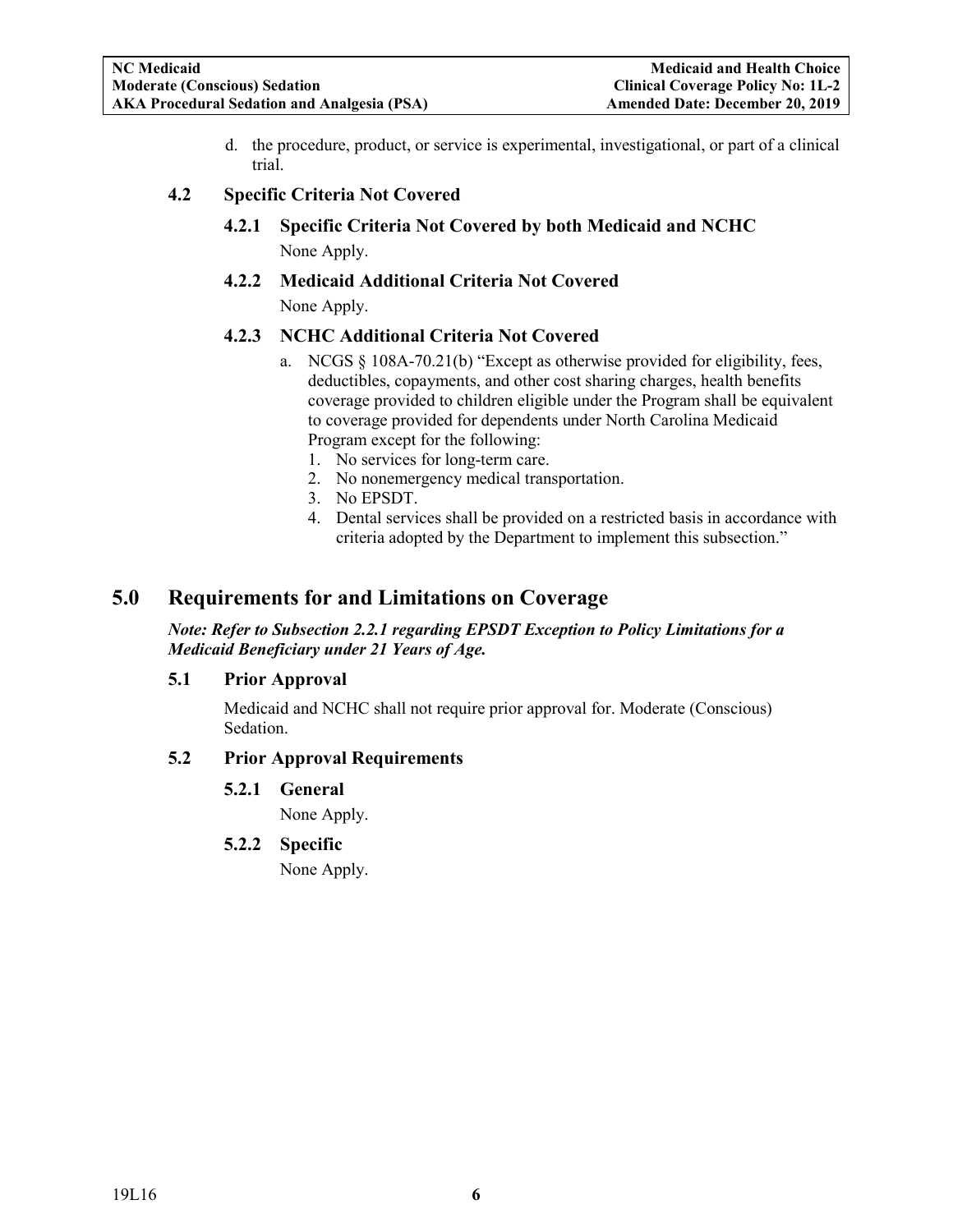d. the procedure, product, or service is experimental, investigational, or part of a clinical trial.

#### <span id="page-7-2"></span><span id="page-7-1"></span><span id="page-7-0"></span>**4.2 Specific Criteria Not Covered**

- **4.2.1 Specific Criteria Not Covered by both Medicaid and NCHC** None Apply.
- **4.2.2 Medicaid Additional Criteria Not Covered** None Apply.

#### <span id="page-7-3"></span>**4.2.3 NCHC Additional Criteria Not Covered**

- a. NCGS § 108A-70.21(b) "Except as otherwise provided for eligibility, fees, deductibles, copayments, and other cost sharing charges, health benefits coverage provided to children eligible under the Program shall be equivalent to coverage provided for dependents under North Carolina Medicaid Program except for the following:
	- 1. No services for long-term care.
	- 2. No nonemergency medical transportation.
	- 3. No EPSDT.
	- 4. Dental services shall be provided on a restricted basis in accordance with criteria adopted by the Department to implement this subsection."

## <span id="page-7-4"></span>**5.0 Requirements for and Limitations on Coverage**

#### *Note: Refer to Subsection 2.2.1 regarding EPSDT Exception to Policy Limitations for a Medicaid Beneficiary under 21 Years of Age.*

#### <span id="page-7-5"></span>**5.1 Prior Approval**

Medicaid and NCHC shall not require prior approval for. Moderate (Conscious) Sedation.

## <span id="page-7-8"></span><span id="page-7-7"></span><span id="page-7-6"></span>**5.2 Prior Approval Requirements**

**5.2.1 General**

None Apply.

## **5.2.2 Specific**

None Apply.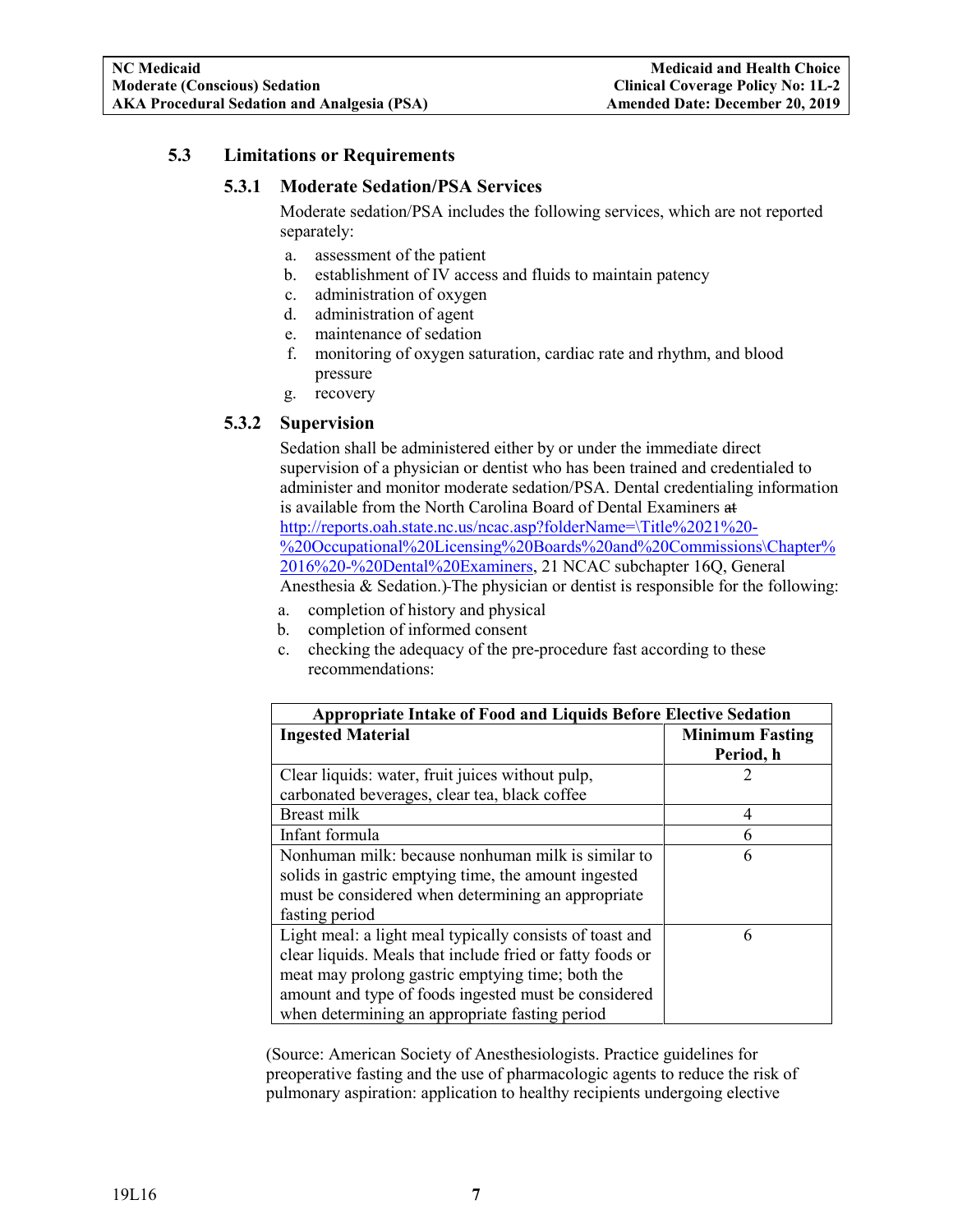## <span id="page-8-1"></span><span id="page-8-0"></span>**5.3 Limitations or Requirements**

#### **5.3.1 Moderate Sedation/PSA Services**

Moderate sedation/PSA includes the following services, which are not reported separately:

- a. assessment of the patient
- b. establishment of IV access and fluids to maintain patency
- c. administration of oxygen
- d. administration of agent
- e. maintenance of sedation
- f. monitoring of oxygen saturation, cardiac rate and rhythm, and blood pressure
- g. recovery

## <span id="page-8-2"></span>**5.3.2 Supervision**

Sedation shall be administered either by or under the immediate direct supervision of a physician or dentist who has been trained and credentialed to administer and monitor moderate sedation/PSA. Dental credentialing information is available from the North Carolina Board of Dental Examiners at [http://reports.oah.state.nc.us/ncac.asp?folderName=\Title%2021%20-](http://reports.oah.state.nc.us/ncac.asp?folderName=%5CTitle%2021%20-%20Occupational%20Licensing%20Boards%20and%20Commissions%5CChapter%2016%20-%20Dental%20Examiners) [%20Occupational%20Licensing%20Boards%20and%20Commissions\Chapter%](http://reports.oah.state.nc.us/ncac.asp?folderName=%5CTitle%2021%20-%20Occupational%20Licensing%20Boards%20and%20Commissions%5CChapter%2016%20-%20Dental%20Examiners) [2016%20-%20Dental%20Examiners,](http://reports.oah.state.nc.us/ncac.asp?folderName=%5CTitle%2021%20-%20Occupational%20Licensing%20Boards%20and%20Commissions%5CChapter%2016%20-%20Dental%20Examiners) 21 NCAC subchapter 16Q, General Anesthesia & Sedation.) The physician or dentist is responsible for the following:

- a. completion of history and physical
- b. completion of informed consent
- c. checking the adequacy of the pre-procedure fast according to these recommendations:

| <b>Appropriate Intake of Food and Liquids Before Elective Sedation</b> |                        |  |  |
|------------------------------------------------------------------------|------------------------|--|--|
| <b>Ingested Material</b>                                               | <b>Minimum Fasting</b> |  |  |
|                                                                        | Period, h              |  |  |
| Clear liquids: water, fruit juices without pulp,                       |                        |  |  |
| carbonated beverages, clear tea, black coffee                          |                        |  |  |
| Breast milk                                                            | 4                      |  |  |
| Infant formula                                                         | 6                      |  |  |
| Nonhuman milk: because nonhuman milk is similar to                     | 6                      |  |  |
| solids in gastric emptying time, the amount ingested                   |                        |  |  |
| must be considered when determining an appropriate                     |                        |  |  |
| fasting period                                                         |                        |  |  |
| Light meal: a light meal typically consists of toast and               | 6                      |  |  |
| clear liquids. Meals that include fried or fatty foods or              |                        |  |  |
| meat may prolong gastric emptying time; both the                       |                        |  |  |
| amount and type of foods ingested must be considered                   |                        |  |  |
| when determining an appropriate fasting period                         |                        |  |  |

(Source: American Society of Anesthesiologists. Practice guidelines for preoperative fasting and the use of pharmacologic agents to reduce the risk of pulmonary aspiration: application to healthy recipients undergoing elective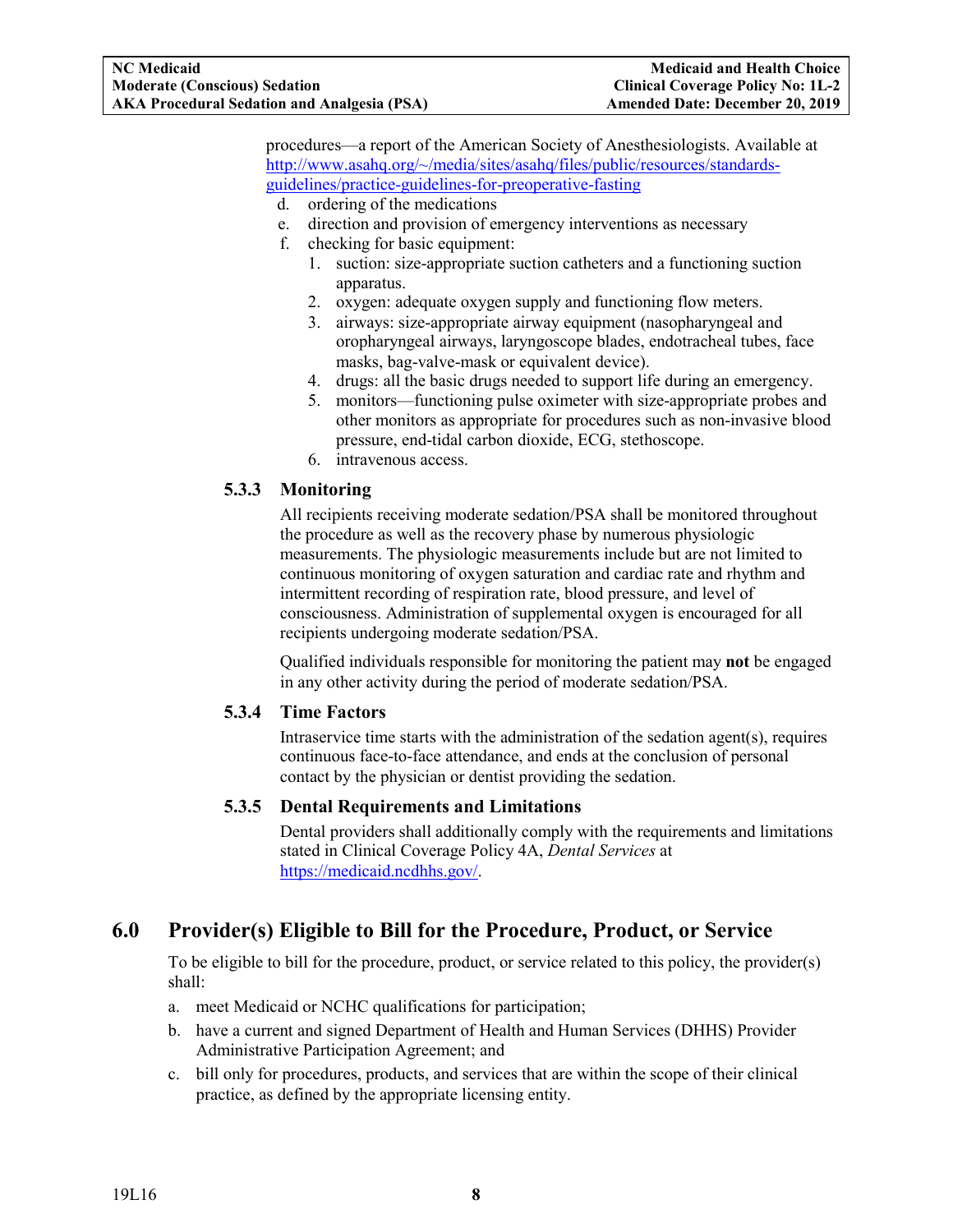<span id="page-9-4"></span>procedures—a report of the American Society of Anesthesiologists. Available at [http://www.asahq.org/~/media/sites/asahq/files/public/resources/standards](http://www.asahq.org/%7E/media/sites/asahq/files/public/resources/standards-guidelines/practice-guidelines-for-preoperative-fasting.pdf)[guidelines/practice-guidelines-for-preoperative-fasting](http://www.asahq.org/%7E/media/sites/asahq/files/public/resources/standards-guidelines/practice-guidelines-for-preoperative-fasting.pdf)

- d. ordering of the medications
- e. direction and provision of emergency interventions as necessary
- f. checking for basic equipment:
	- 1. suction: size-appropriate suction catheters and a functioning suction apparatus.
	- 2. oxygen: adequate oxygen supply and functioning flow meters.
	- 3. airways: size-appropriate airway equipment (nasopharyngeal and oropharyngeal airways, laryngoscope blades, endotracheal tubes, face masks, bag-valve-mask or equivalent device).
	- 4. drugs: all the basic drugs needed to support life during an emergency.
	- 5. monitors—functioning pulse oximeter with size-appropriate probes and other monitors as appropriate for procedures such as non-invasive blood pressure, end-tidal carbon dioxide, ECG, stethoscope.
	- 6. intravenous access.

## <span id="page-9-0"></span>**5.3.3 Monitoring**

All recipients receiving moderate sedation/PSA shall be monitored throughout the procedure as well as the recovery phase by numerous physiologic measurements. The physiologic measurements include but are not limited to continuous monitoring of oxygen saturation and cardiac rate and rhythm and intermittent recording of respiration rate, blood pressure, and level of consciousness. Administration of supplemental oxygen is encouraged for all recipients undergoing moderate sedation/PSA.

Qualified individuals responsible for monitoring the patient may **not** be engaged in any other activity during the period of moderate sedation/PSA.

## <span id="page-9-1"></span>**5.3.4 Time Factors**

Intraservice time starts with the administration of the sedation agent(s), requires continuous face-to-face attendance, and ends at the conclusion of personal contact by the physician or dentist providing the sedation.

## <span id="page-9-2"></span>**5.3.5 Dental Requirements and Limitations**

Dental providers shall additionally comply with the requirements and limitations stated in Clinical Coverage Policy 4A, *Dental Services* at [https://medicaid.ncdhhs.gov/.](https://medicaid.ncdhhs.gov/)

## <span id="page-9-3"></span>**6.0 Provider(s) Eligible to Bill for the Procedure, Product, or Service**

To be eligible to bill for the procedure, product, or service related to this policy, the provider(s) shall:

- a. meet Medicaid or NCHC qualifications for participation;
- b. have a current and signed Department of Health and Human Services (DHHS) Provider Administrative Participation Agreement; and
- c. bill only for procedures, products, and services that are within the scope of their clinical practice, as defined by the appropriate licensing entity.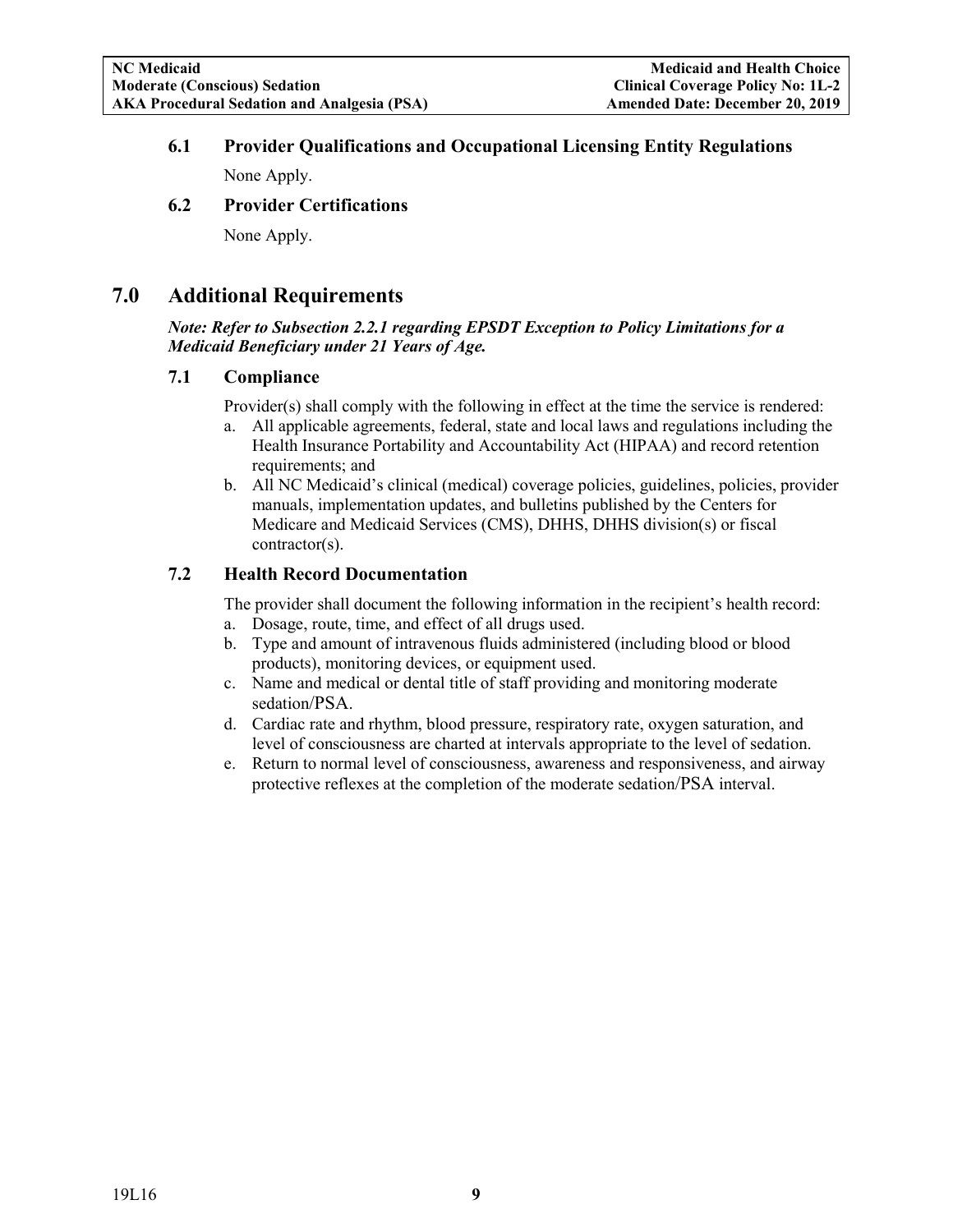## **6.1 Provider Qualifications and Occupational Licensing Entity Regulations**

None Apply.

## <span id="page-10-0"></span>**6.2 Provider Certifications**

None Apply.

## <span id="page-10-1"></span>**7.0 Additional Requirements**

#### *Note: Refer to Subsection 2.2.1 regarding EPSDT Exception to Policy Limitations for a Medicaid Beneficiary under 21 Years of Age.*

## <span id="page-10-2"></span>**7.1 Compliance**

Provider(s) shall comply with the following in effect at the time the service is rendered:

- a. All applicable agreements, federal, state and local laws and regulations including the Health Insurance Portability and Accountability Act (HIPAA) and record retention requirements; and
- b. All NC Medicaid's clinical (medical) coverage policies, guidelines, policies, provider manuals, implementation updates, and bulletins published by the Centers for Medicare and Medicaid Services (CMS), DHHS, DHHS division(s) or fiscal contractor(s).

## <span id="page-10-3"></span>**7.2 Health Record Documentation**

The provider shall document the following information in the recipient's health record:

- a. Dosage, route, time, and effect of all drugs used.
- b. Type and amount of intravenous fluids administered (including blood or blood products), monitoring devices, or equipment used.
- c. Name and medical or dental title of staff providing and monitoring moderate sedation/PSA.
- d. Cardiac rate and rhythm, blood pressure, respiratory rate, oxygen saturation, and level of consciousness are charted at intervals appropriate to the level of sedation.
- e. Return to normal level of consciousness, awareness and responsiveness, and airway protective reflexes at the completion of the moderate sedation/PSA interval.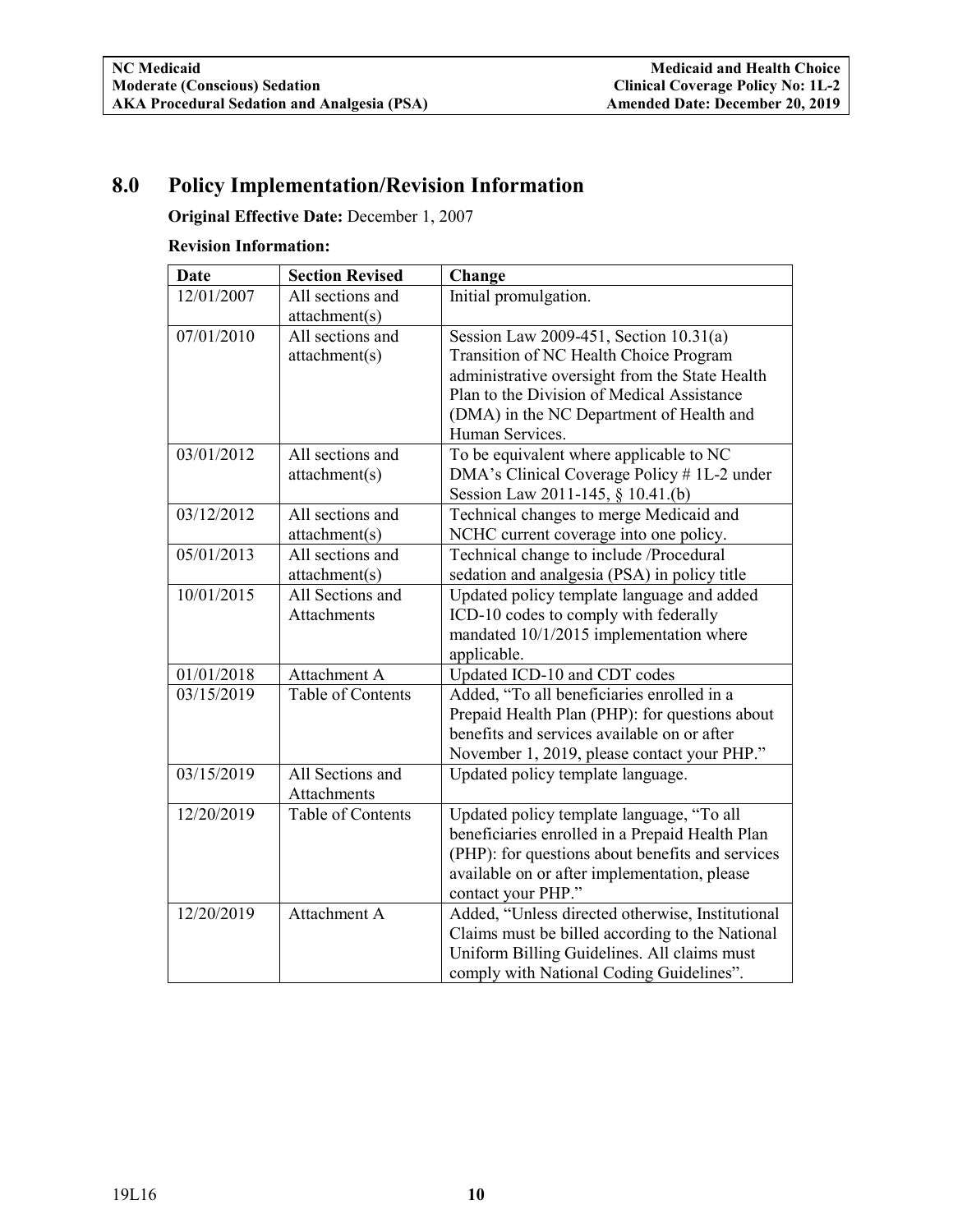# <span id="page-11-0"></span>**8.0 Policy Implementation/Revision Information**

**Original Effective Date:** December 1, 2007

#### **Revision Information:**

| <b>Date</b>         | <b>Section Revised</b>                 | Change                                                                                                                                                                                                                                          |
|---------------------|----------------------------------------|-------------------------------------------------------------------------------------------------------------------------------------------------------------------------------------------------------------------------------------------------|
| 12/01/2007          | All sections and<br>attachment(s)      | Initial promulgation.                                                                                                                                                                                                                           |
| 07/01/2010          | All sections and<br>attachment(s)      | Session Law 2009-451, Section 10.31(a)<br>Transition of NC Health Choice Program<br>administrative oversight from the State Health<br>Plan to the Division of Medical Assistance<br>(DMA) in the NC Department of Health and<br>Human Services. |
| $\sqrt{03/01/2012}$ | All sections and<br>attachment(s)      | To be equivalent where applicable to NC<br>DMA's Clinical Coverage Policy # 1L-2 under<br>Session Law 2011-145, § 10.41.(b)                                                                                                                     |
| 03/12/2012          | All sections and<br>attachment(s)      | Technical changes to merge Medicaid and<br>NCHC current coverage into one policy.                                                                                                                                                               |
| 05/01/2013          | All sections and<br>attachment(s)      | Technical change to include /Procedural<br>sedation and analgesia (PSA) in policy title                                                                                                                                                         |
| 10/01/2015          | All Sections and<br><b>Attachments</b> | Updated policy template language and added<br>ICD-10 codes to comply with federally<br>mandated 10/1/2015 implementation where<br>applicable.                                                                                                   |
| 01/01/2018          | Attachment A                           | Updated ICD-10 and CDT codes                                                                                                                                                                                                                    |
| 03/15/2019          | Table of Contents                      | Added, "To all beneficiaries enrolled in a<br>Prepaid Health Plan (PHP): for questions about<br>benefits and services available on or after<br>November 1, 2019, please contact your PHP."                                                      |
| 03/15/2019          | All Sections and<br><b>Attachments</b> | Updated policy template language.                                                                                                                                                                                                               |
| 12/20/2019          | Table of Contents                      | Updated policy template language, "To all<br>beneficiaries enrolled in a Prepaid Health Plan<br>(PHP): for questions about benefits and services<br>available on or after implementation, please<br>contact your PHP."                          |
| 12/20/2019          | Attachment A                           | Added, "Unless directed otherwise, Institutional<br>Claims must be billed according to the National<br>Uniform Billing Guidelines. All claims must<br>comply with National Coding Guidelines".                                                  |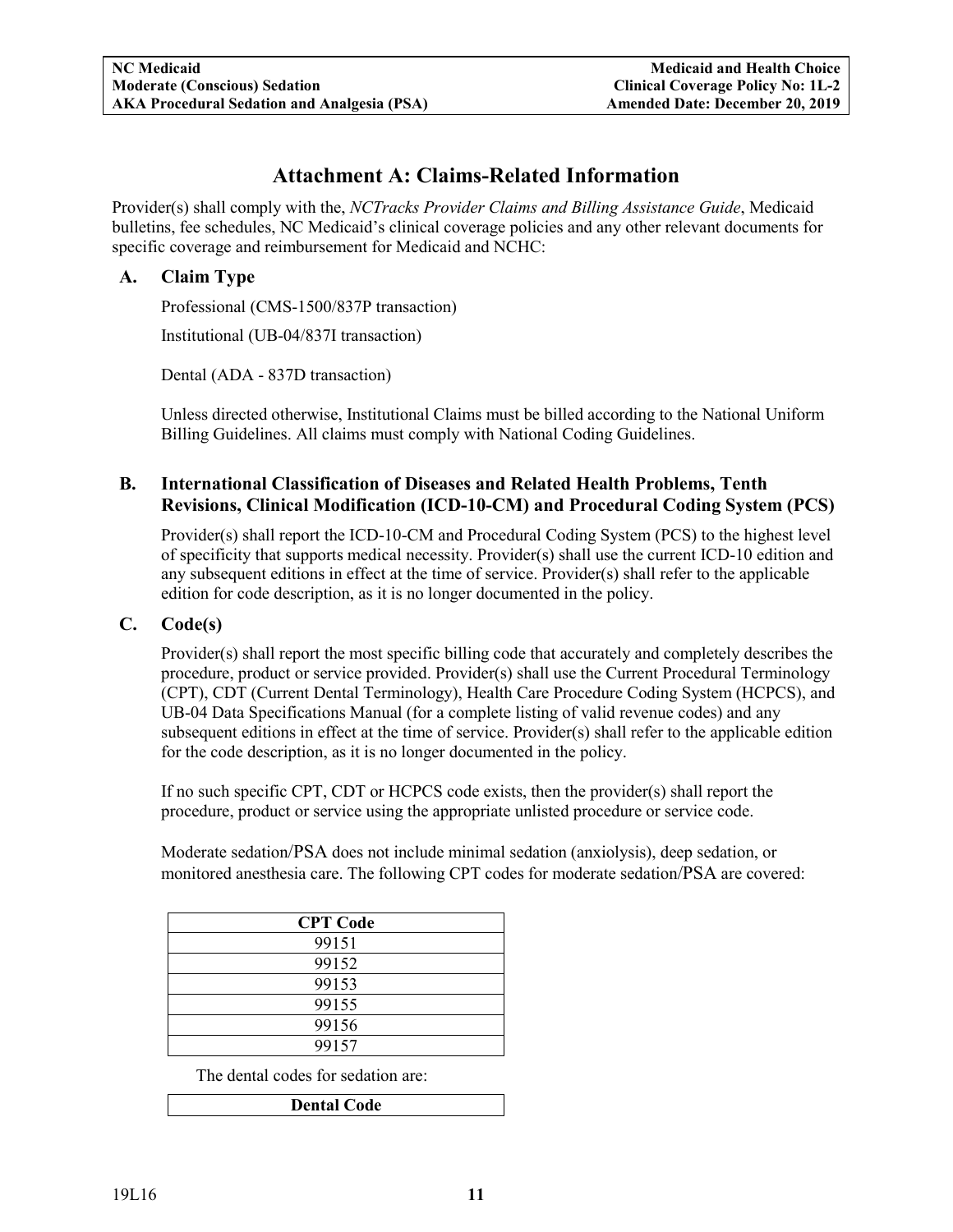## **Attachment A: Claims-Related Information**

<span id="page-12-0"></span>Provider(s) shall comply with the, *NCTracks Provider Claims and Billing Assistance Guide*, Medicaid bulletins, fee schedules, NC Medicaid's clinical coverage policies and any other relevant documents for specific coverage and reimbursement for Medicaid and NCHC:

## <span id="page-12-1"></span>**A. Claim Type**

Professional (CMS-1500/837P transaction)

Institutional (UB-04/837I transaction)

Dental (ADA - 837D transaction)

Unless directed otherwise, Institutional Claims must be billed according to the National Uniform Billing Guidelines. All claims must comply with National Coding Guidelines.

## <span id="page-12-2"></span>**B. International Classification of Diseases and Related Health Problems, Tenth Revisions, Clinical Modification (ICD-10-CM) and Procedural Coding System (PCS)**

Provider(s) shall report the ICD-10-CM and Procedural Coding System (PCS) to the highest level of specificity that supports medical necessity. Provider(s) shall use the current ICD-10 edition and any subsequent editions in effect at the time of service. Provider(s) shall refer to the applicable edition for code description, as it is no longer documented in the policy.

## <span id="page-12-3"></span>**C. Code(s)**

Provider(s) shall report the most specific billing code that accurately and completely describes the procedure, product or service provided. Provider(s) shall use the Current Procedural Terminology (CPT), CDT (Current Dental Terminology), Health Care Procedure Coding System (HCPCS), and UB-04 Data Specifications Manual (for a complete listing of valid revenue codes) and any subsequent editions in effect at the time of service. Provider(s) shall refer to the applicable edition for the code description, as it is no longer documented in the policy.

If no such specific CPT, CDT or HCPCS code exists, then the provider(s) shall report the procedure, product or service using the appropriate unlisted procedure or service code.

Moderate sedation/PSA does not include minimal sedation (anxiolysis), deep sedation, or monitored anesthesia care. The following CPT codes for moderate sedation/PSA are covered:

| <b>CPT</b> Code |  |
|-----------------|--|
| 99151           |  |
| 99152           |  |
| 99153           |  |
| 99155           |  |
| 99156           |  |
| 99157           |  |

The dental codes for sedation are:

| <b>Dental Code</b> |
|--------------------|
|--------------------|